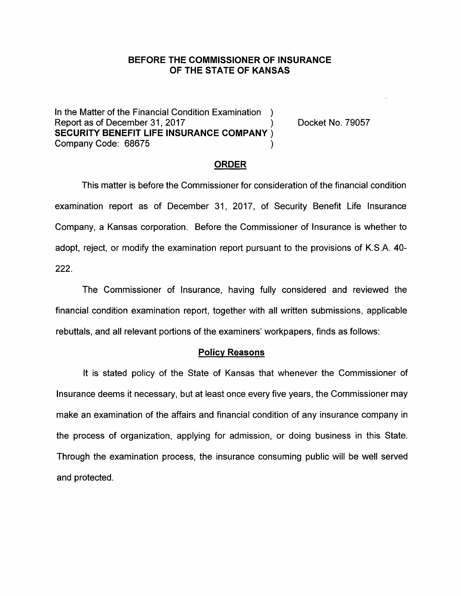# **BEFORE THE COMMISSIONER OF INSURANCE OF THE STATE OF KANSAS**

In the Matter of the Financial Condition Examination ) Report as of December 31, 2017 **SECURITY BENEFIT LIFE INSURANCE COMPANY** ) Company Code: 68675 (2008)

Docket No. 79057

## **ORDER**

This matter is before the Commissioner for consideration of the financial condition examination report as of December 31, 2017, of Security Benefit Life Insurance Company, a Kansas corporation. Before the Commissioner of Insurance is whether to adopt, reject, or modify the examination report pursuant to the provisions of K.S.A. 40- **222.** 

The Commissioner of Insurance, having fully considered and reviewed the financial condition examination report, together with all written submissions, applicable rebuttals, and all relevant portions of the examiners' workpapers, finds as follows:

#### **Policy Reasons**

It is stated policy of the State of Kansas that whenever the Commissioner of Insurance deems it necessary, but at least once every five years, the Commissioner may make an examination of the affairs and financial condition of any insurance company in the process of organization, applying for admission, or doing business in this State. Through the examination process, the insurance consuming public will be well served and protected.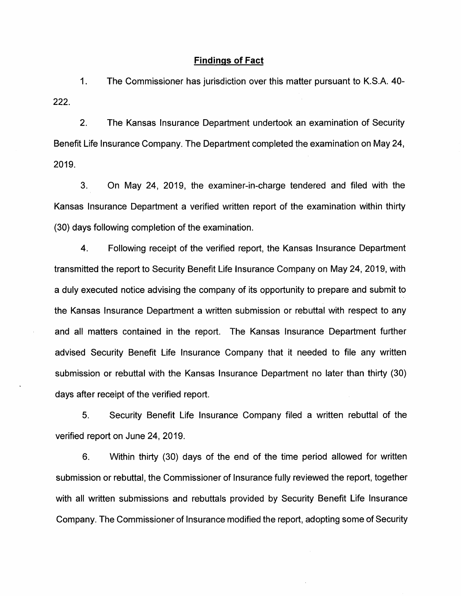#### **Findings of Fact**

1. The Commissioner has jurisdiction over this matter pursuant to K.S.A. 40- 222.

2. The Kansas Insurance Department undertook an examination of Security Benefit Life Insurance Company. The Department completed the examination on May 24, 2019.

3. On May 24, 2019, the examiner-in-charge tendered and filed with the Kansas Insurance Department a verified written report of the examination within thirty (30) days following completion of the examination.

4. Following receipt of the verified report, the Kansas Insurance Department transmitted the report to Security Benefit Life Insurance Company on May 24, 2019, with a duly executed notice advising the company of its opportunity to prepare and submit to the Kansas Insurance Department a written submission or rebuttal with respect to any and all matters contained in the report. The Kansas Insurance Department further advised Security Benefit Life Insurance Company that it needed to file any written submission or rebuttal with the Kansas Insurance Department no later than thirty (30) days after receipt of the verified report.

5. Security Benefit Life Insurance Company filed a written rebuttal of the verified report on June 24, 2019.

6. Within thirty (30) days of the end of the time period allowed for written submission or rebuttal, the Commissioner of Insurance fully reviewed the report, together with all written submissions and rebuttals provided by Security Benefit Life Insurance Company. The Commissioner of Insurance modified the report, adopting some of Security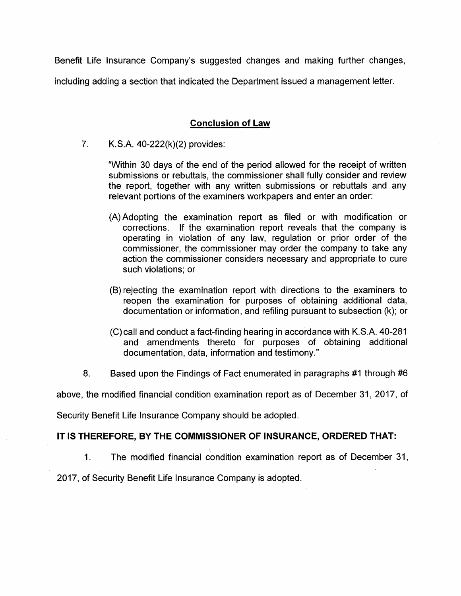Benefit Life Insurance Company's suggested changes and making further changes, including adding a section that indicated the Department issued a management letter.

# **Conclusion of Law**

7. K.S.A. 40-222(k)(2) provides:

"Within 30 days of the end of the period allowed for the receipt of written submissions or rebuttals, the commissioner shall fully consider and review the report, together with any written submissions or rebuttals and any relevant portions of the examiners workpapers and enter an order:

- (A) Adopting the examination report as filed or with modification or corrections. If the examination report reveals that the company is operating in violation of any law, regulation or prior order of the commissioner, the commissioner may order the company to take any action the commissioner considers necessary and appropriate to cure such violations; or
- (B) rejecting the examination report with directions to the examiners to reopen the examination for purposes of obtaining additional data, documentation or information, and refiling pursuant to subsection (k); or
- (C)call and conduct a fact-finding hearing in accordance with K.S.A. 40-281 and amendments thereto for purposes of obtaining additional documentation, data, information and testimony."
- 8. Based upon the Findings of Fact enumerated in paragraphs #1 through #6

above, the modified financial condition examination report as of December 31, 2017, of

Security Benefit Life Insurance Company should be adopted.

## **IT IS THEREFORE, BY THE COMMISSIONER OF INSURANCE, ORDERED THAT:**

1. The modified financial condition examination report as of December 31,

2017, of Security Benefit Life Insurance Company is adopted.